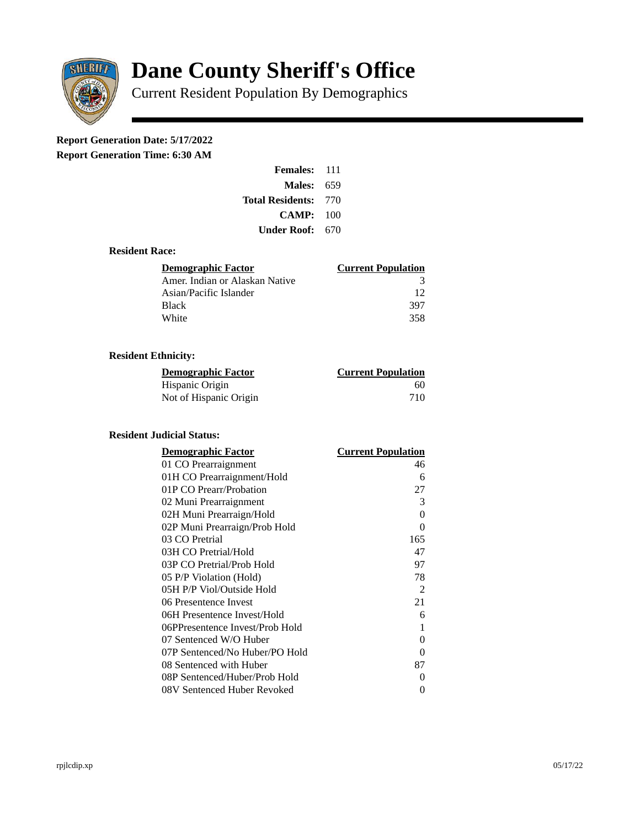

# **Dane County Sheriff's Office**

Current Resident Population By Demographics

# **Report Generation Date: 5/17/2022**

**Report Generation Time: 6:30 AM** 

| Females:                | 111   |
|-------------------------|-------|
| Males:                  | 659   |
| <b>Total Residents:</b> | - 770 |
| CAMP:                   | 100   |
| Under Roof:             | 670   |

### **Resident Race:**

| Demographic Factor             | <b>Current Population</b> |
|--------------------------------|---------------------------|
| Amer. Indian or Alaskan Native | 3                         |
| Asian/Pacific Islander         | 12                        |
| Black                          | 397                       |
| White                          | 358                       |

# **Resident Ethnicity:**

| <u>Demographic Factor</u> | <u>Current Population</u> |
|---------------------------|---------------------------|
| Hispanic Origin           | 60                        |
| Not of Hispanic Origin    | 710                       |

# **Resident Judicial Status:**

| <b>Demographic Factor</b>       | <b>Current Population</b> |
|---------------------------------|---------------------------|
| 01 CO Prearraignment            | 46                        |
| 01H CO Prearraignment/Hold      | 6                         |
| 01P CO Prearr/Probation         | 27                        |
| 02 Muni Prearraignment          | 3                         |
| 02H Muni Prearraign/Hold        | 0                         |
| 02P Muni Prearraign/Prob Hold   | 0                         |
| 03 CO Pretrial                  | 165                       |
| 03H CO Pretrial/Hold            | 47                        |
| 03P CO Pretrial/Prob Hold       | 97                        |
| 05 P/P Violation (Hold)         | 78                        |
| 05H P/P Viol/Outside Hold       | 2                         |
| 06 Presentence Invest           | 21                        |
| 06H Presentence Invest/Hold     | 6                         |
| 06PPresentence Invest/Prob Hold | 1                         |
| 07 Sentenced W/O Huber          | 0                         |
| 07P Sentenced/No Huber/PO Hold  | 0                         |
| 08 Sentenced with Huber         | 87                        |
| 08P Sentenced/Huber/Prob Hold   | O                         |
| 08V Sentenced Huber Revoked     | 0                         |